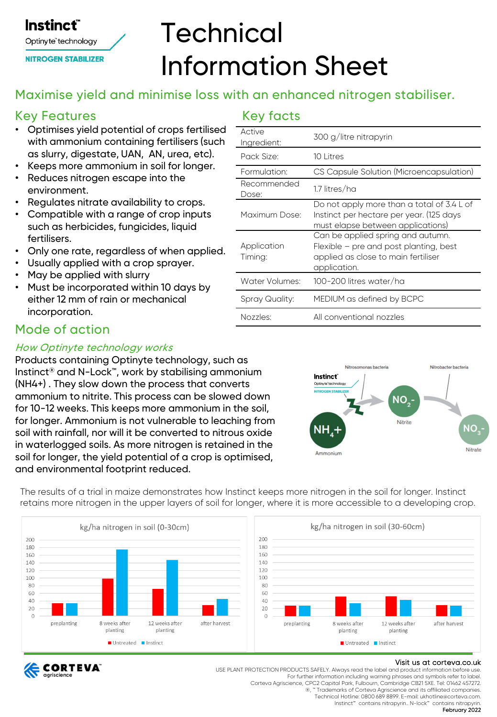# **Technical** Information Sheet

# Maximise yield and minimise loss with an enhanced nitrogen stabiliser.

# Key Features

**Instinct**®

Optinyte<sup>®</sup>technology **NITROGEN STABILIZER** 

- Optimises yield potential of crops fertilised with ammonium containing fertilisers (such as slurry, digestate, UAN, AN, urea, etc).
- Keeps more ammonium in soil for longer.
- Reduces nitrogen escape into the environment.
- Regulates nitrate availability to crops.
- Compatible with a range of crop inputs such as herbicides, fungicides, liquid fertilisers.
- Only one rate, regardless of when applied.
- Usually applied with a crop sprayer.
- May be applied with slurry
- Must be incorporated within 10 days by either 12 mm of rain or mechanical incorporation.

### Mode of action

#### How Optinyte technology works

Products containing Optinyte technology, such as Instinct® and N-Lock™, work by stabilising ammonium (NH4+) . They slow down the process that converts ammonium to nitrite. This process can be slowed down for 10-12 weeks. This keeps more ammonium in the soil, for longer. Ammonium is not vulnerable to leaching from soil with rainfall, nor will it be converted to nitrous oxide in waterlogged soils. As more nitrogen is retained in the soil for longer, the yield potential of a crop is optimised, and environmental footprint reduced.

The results of a trial in maize demonstrates how Instinct keeps more nitrogen in the soil for longer. Instinct retains more nitrogen in the upper layers of soil for longer, where it is more accessible to a developing crop.





Visit us at corteva.co.uk USE PLANT PROTECTION PRODUCTS SAFELY. Always read the label and product information before use. For further information including warning phrases and symbols refer to label. Corteva Agriscience, CPC2 Capital Park, Fulbourn, Cambridge CB21 5XE. Tel: 01462 457272.

Ammonium

®, ™ Trademarks of Corteva Agriscience and its affiliated companies. Technical Hotline: 0800 689 8899. E-mail: ukhotline@corteva.com. Instinct™ contains nitrapyrin.. N-lock™ contains nitrapyrin.

February 2022

Nitrate

| Nitrosomonas bacteria                                                                  | Nitrobacter bacteria |
|----------------------------------------------------------------------------------------|----------------------|
| Instinct<br>Optiny te <sup>+</sup> technology<br><b>NITROGEN STABILIZER</b><br>$NO2$ - |                      |
| <b>Nitrite</b>                                                                         |                      |

#### Key facts

| Active<br>Ingredient:  | 300 g/litre nitrapyrin                                                                                                             |
|------------------------|------------------------------------------------------------------------------------------------------------------------------------|
| Pack Size:             | $10$ I itres                                                                                                                       |
| Formulation:           | CS Capsule Solution (Microencapsulation)                                                                                           |
| Recommended<br>Dose:   | 1.7 litres/ha                                                                                                                      |
| Maximum Dose:          | Do not apply more than a total of 3.4 L of<br>Instinct per hectare per year. (125 days<br>must elapse between applications)        |
| Application<br>Timing: | Can be applied spring and autumn.<br>Flexible - pre and post planting, best<br>applied as close to main fertiliser<br>application. |
| Water Volumes:         | 100-200 litres water/ha                                                                                                            |
| Spray Quality:         | MEDIUM as defined by BCPC                                                                                                          |
| Nozzles:               | All conventional nozzles                                                                                                           |